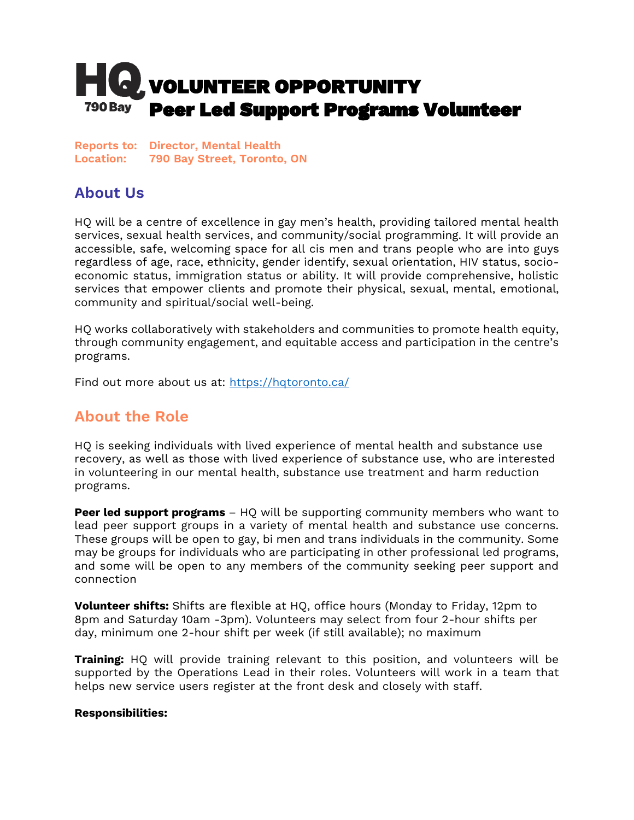# **HQ** volunteer opportunity **790 Bay** Peer Led Support Programs Volunteer

**Reports to: Director, Mental Health Location: 790 Bay Street, Toronto, ON**

## **About Us**

HQ will be a centre of excellence in gay men's health, providing tailored mental health services, sexual health services, and community/social programming. It will provide an accessible, safe, welcoming space for all cis men and trans people who are into guys regardless of age, race, ethnicity, gender identify, sexual orientation, HIV status, socioeconomic status, immigration status or ability. It will provide comprehensive, holistic services that empower clients and promote their physical, sexual, mental, emotional, community and spiritual/social well-being.

HQ works collaboratively with stakeholders and communities to promote health equity, through community engagement, and equitable access and participation in the centre's programs.

Find out more about us at:<https://hqtoronto.ca/>

### **About the Role**

HQ is seeking individuals with lived experience of mental health and substance use recovery, as well as those with lived experience of substance use, who are interested in volunteering in our mental health, substance use treatment and harm reduction programs.

**Peer led support programs** – HQ will be supporting community members who want to lead peer support groups in a variety of mental health and substance use concerns. These groups will be open to gay, bi men and trans individuals in the community. Some may be groups for individuals who are participating in other professional led programs, and some will be open to any members of the community seeking peer support and connection

**Volunteer shifts:** Shifts are flexible at HQ, office hours (Monday to Friday, 12pm to 8pm and Saturday 10am -3pm). Volunteers may select from four 2-hour shifts per day, minimum one 2-hour shift per week (if still available); no maximum

**Training:** HQ will provide training relevant to this position, and volunteers will be supported by the Operations Lead in their roles. Volunteers will work in a team that helps new service users register at the front desk and closely with staff.

#### **Responsibilities:**